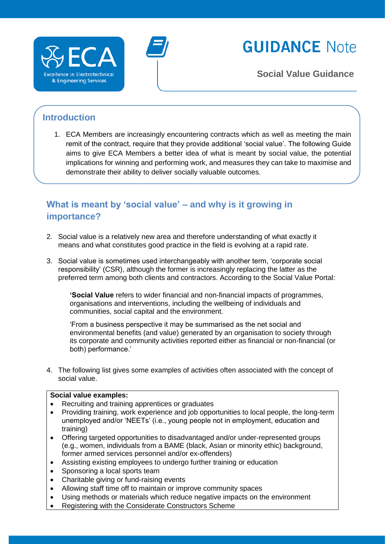

# **GUIDANCE Note**

**Social Value Guidance**

# **Introduction**

1. ECA Members are increasingly encountering contracts which as well as meeting the main remit of the contract, require that they provide additional 'social value'. The following Guide aims to give ECA Members a better idea of what is meant by social value, the potential implications for winning and performing work, and measures they can take to maximise and demonstrate their ability to deliver socially valuable outcomes.

# **What is meant by 'social value' – and why is it growing in importance?**

- 2. Social value is a relatively new area and therefore understanding of what exactly it means and what constitutes good practice in the field is evolving at a rapid rate.
- 3. Social value is sometimes used interchangeably with another term, 'corporate social responsibility' (CSR), although the former is increasingly replacing the latter as the preferred term among both clients and contractors. According to the Social Value Portal:

**'Social Value** refers to wider financial and non-financial impacts of programmes, organisations and interventions, including the wellbeing of individuals and communities, social capital and the environment.

'From a business perspective it may be summarised as the net social and environmental benefits (and value) generated by an organisation to society through its corporate and community activities reported either as financial or non-financial (or both) performance.'

4. The following list gives some examples of activities often associated with the concept of social value.

#### **Social value examples:**

- Recruiting and training apprentices or graduates
- Providing training, work experience and job opportunities to local people, the long-term unemployed and/or 'NEETs' (i.e., young people not in employment, education and training)
- Offering targeted opportunities to disadvantaged and/or under-represented groups (e.g., women, individuals from a BAME (black, Asian or minority ethic) background, former armed services personnel and/or ex-offenders)
- Assisting existing employees to undergo further training or education
- Sponsoring a local sports team
- Charitable giving or fund-raising events
- Allowing staff time off to maintain or improve community spaces
- Using methods or materials which reduce negative impacts on the environment
- Registering with the Considerate Constructors Scheme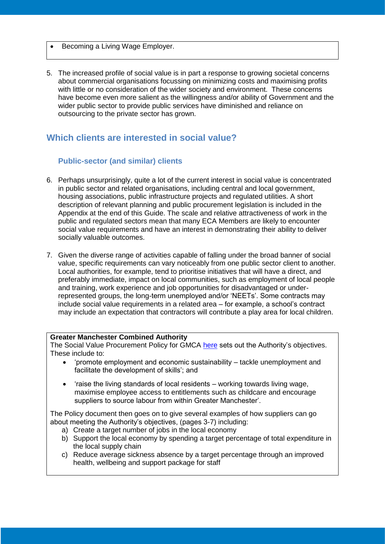- Becoming a Living Wage Employer.
- 5. The increased profile of social value is in part a response to growing societal concerns about commercial organisations focussing on minimizing costs and maximising profits with little or no consideration of the wider society and environment. These concerns have become even more salient as the willingness and/or ability of Government and the wider public sector to provide public services have diminished and reliance on outsourcing to the private sector has grown.

## **Which clients are interested in social value?**

#### **Public-sector (and similar) clients**

- 6. Perhaps unsurprisingly, quite a lot of the current interest in social value is concentrated in public sector and related organisations, including central and local government, housing associations, public infrastructure projects and regulated utilities. A short description of relevant planning and public procurement legislation is included in the Appendix at the end of this Guide. The scale and relative attractiveness of work in the public and regulated sectors mean that many ECA Members are likely to encounter social value requirements and have an interest in demonstrating their ability to deliver socially valuable outcomes.
- 7. Given the diverse range of activities capable of falling under the broad banner of social value, specific requirements can vary noticeably from one public sector client to another. Local authorities, for example, tend to prioritise initiatives that will have a direct, and preferably immediate, impact on local communities, such as employment of local people and training, work experience and job opportunities for disadvantaged or underrepresented groups, the long-term unemployed and/or 'NEETs'. Some contracts may include social value requirements in a related area – for example, a school's contract may include an expectation that contractors will contribute a play area for local children.

#### **Greater Manchester Combined Authority**

The Social Value Procurement Policy for GMCA [here](https://www.greatermanchester-ca.gov.uk/media/1393/social-value-policy.pdf) sets out the Authority's objectives. These include to:

- 'promote employment and economic sustainability tackle unemployment and facilitate the development of skills'; and
- 'raise the living standards of local residents working towards living wage, maximise employee access to entitlements such as childcare and encourage suppliers to source labour from within Greater Manchester'.

The Policy document then goes on to give several examples of how suppliers can go about meeting the Authority's objectives, (pages 3-7) including:

- a) Create a target number of jobs in the local economy
- b) Support the local economy by spending a target percentage of total expenditure in the local supply chain
- c) Reduce average sickness absence by a target percentage through an improved health, wellbeing and support package for staff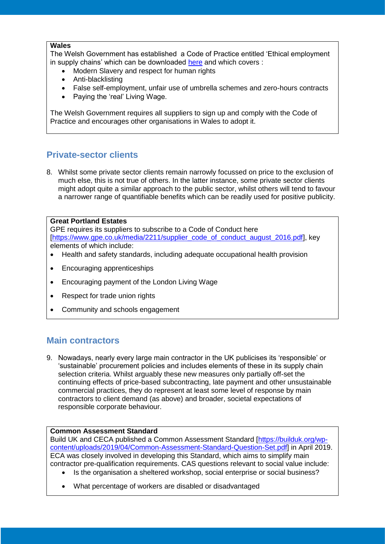#### **Wales**

The Welsh Government has established a Code of Practice entitled 'Ethical employment in supply chains' which can be downloaded [here](https://gov.wales/topics/improvingservices/bettervfm/code-of-practice/?lang=en) and which covers :

- Modern Slavery and respect for human rights
- Anti-blacklisting
- False self-employment, unfair use of umbrella schemes and zero-hours contracts
- Paving the 'real' Living Wage.

The Welsh Government requires all suppliers to sign up and comply with the Code of Practice and encourages other organisations in Wales to adopt it.

# **Private-sector clients**

8. Whilst some private sector clients remain narrowly focussed on price to the exclusion of much else, this is not true of others. In the latter instance, some private sector clients might adopt quite a similar approach to the public sector, whilst others will tend to favour a narrower range of quantifiable benefits which can be readily used for positive publicity.

#### **Great Portland Estates**

GPE requires its suppliers to subscribe to a Code of Conduct here [\[https://www.gpe.co.uk/media/2211/supplier\\_code\\_of\\_conduct\\_august\\_2016.pdf\]](https://www.gpe.co.uk/media/2211/supplier_code_of_conduct_august_2016.pdf), key elements of which include:

- Health and safety standards, including adequate occupational health provision
- Encouraging apprenticeships
- Encouraging payment of the London Living Wage
- Respect for trade union rights
- Community and schools engagement

## **Main contractors**

9. Nowadays, nearly every large main contractor in the UK publicises its 'responsible' or 'sustainable' procurement policies and includes elements of these in its supply chain selection criteria. Whilst arguably these new measures only partially off-set the continuing effects of price-based subcontracting, late payment and other unsustainable commercial practices, they do represent at least some level of response by main contractors to client demand (as above) and broader, societal expectations of responsible corporate behaviour.

#### **Common Assessment Standard**

Build UK and CECA published a Common Assessment Standard [\[https://builduk.org/wp](https://builduk.org/wp-content/uploads/2019/04/Common-Assessment-Standard-Question-Set.pdf)[content/uploads/2019/04/Common-Assessment-Standard-Question-Set.pdf\]](https://builduk.org/wp-content/uploads/2019/04/Common-Assessment-Standard-Question-Set.pdf) in April 2019. ECA was closely involved in developing this Standard, which aims to simplify main contractor pre-qualification requirements. CAS questions relevant to social value include:

- Is the organisation a sheltered workshop, social enterprise or social business?
- What percentage of workers are disabled or disadvantaged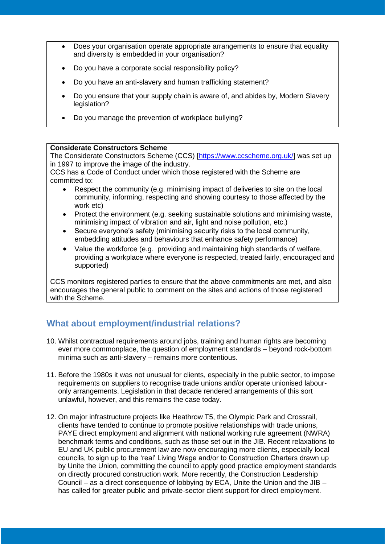- Does your organisation operate appropriate arrangements to ensure that equality and diversity is embedded in your organisation?
- Do you have a corporate social responsibility policy?
- Do you have an anti-slavery and human trafficking statement?
- Do you ensure that your supply chain is aware of, and abides by, Modern Slavery legislation?
- Do you manage the prevention of workplace bullying?

#### **Considerate Constructors Scheme**

The Considerate Constructors Scheme (CCS) [\[https://www.ccscheme.org.uk/\]](https://www.ccscheme.org.uk/) was set up in 1997 to improve the image of the industry.

CCS has a Code of Conduct under which those registered with the Scheme are committed to:

- Respect the community (e.g. minimising impact of deliveries to site on the local community, informing, respecting and showing courtesy to those affected by the work etc)
- Protect the environment (e.g. seeking sustainable solutions and minimising waste, minimising impact of vibration and air, light and noise pollution, etc.)
- Secure everyone's safety (minimising security risks to the local community, embedding attitudes and behaviours that enhance safety performance)
- Value the workforce (e.g. providing and maintaining high standards of welfare, providing a workplace where everyone is respected, treated fairly, encouraged and supported)

CCS monitors registered parties to ensure that the above commitments are met, and also encourages the general public to comment on the sites and actions of those registered with the Scheme.

# **What about employment/industrial relations?**

- 10. Whilst contractual requirements around jobs, training and human rights are becoming ever more commonplace, the question of employment standards – beyond rock-bottom minima such as anti-slavery – remains more contentious.
- 11. Before the 1980s it was not unusual for clients, especially in the public sector, to impose requirements on suppliers to recognise trade unions and/or operate unionised labouronly arrangements. Legislation in that decade rendered arrangements of this sort unlawful, however, and this remains the case today.
- 12. On major infrastructure projects like Heathrow T5, the Olympic Park and Crossrail, clients have tended to continue to promote positive relationships with trade unions, PAYE direct employment and alignment with national working rule agreement (NWRA) benchmark terms and conditions, such as those set out in the JIB. Recent relaxations to EU and UK public procurement law are now encouraging more clients, especially local councils, to sign up to the 'real' Living Wage and/or to Construction Charters drawn up by Unite the Union, committing the council to apply good practice employment standards on directly procured construction work. More recently, the Construction Leadership Council – as a direct consequence of lobbying by ECA, Unite the Union and the JIB – has called for greater public and private-sector client support for direct employment.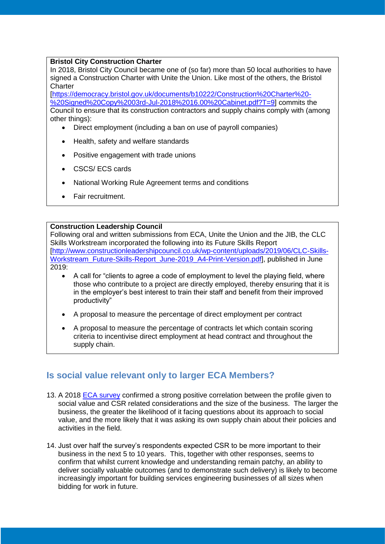#### **Bristol City Construction Charter**

In 2018, Bristol City Council became one of (so far) more than 50 local authorities to have signed a Construction Charter with Unite the Union. Like most of the others, the Bristol **Charter** 

[\[https://democracy.bristol.gov.uk/documents/b10222/Construction%20Charter%20-](https://democracy.bristol.gov.uk/documents/b10222/Construction%20Charter%20-%20Signed%20Copy%2003rd-Jul-2018%2016.00%20Cabinet.pdf?T=9) [%20Signed%20Copy%2003rd-Jul-2018%2016.00%20Cabinet.pdf?T=9\]](https://democracy.bristol.gov.uk/documents/b10222/Construction%20Charter%20-%20Signed%20Copy%2003rd-Jul-2018%2016.00%20Cabinet.pdf?T=9) commits the Council to ensure that its construction contractors and supply chains comply with (among other things):

- Direct employment (including a ban on use of payroll companies)
- Health, safety and welfare standards
- Positive engagement with trade unions
- CSCS/ ECS cards
- National Working Rule Agreement terms and conditions
- Fair recruitment.

#### **Construction Leadership Council**

Following oral and written submissions from ECA, Unite the Union and the JIB, the CLC Skills Workstream incorporated the following into its Future Skills Report [\[http://www.constructionleadershipcouncil.co.uk/wp-content/uploads/2019/06/CLC-Skills-](http://www.constructionleadershipcouncil.co.uk/wp-content/uploads/2019/06/CLC-Skills-Workstream_Future-Skills-Report_June-2019_A4-Print-Version.pdf)[Workstream\\_Future-Skills-Report\\_June-2019\\_A4-Print-Version.pdf\]](http://www.constructionleadershipcouncil.co.uk/wp-content/uploads/2019/06/CLC-Skills-Workstream_Future-Skills-Report_June-2019_A4-Print-Version.pdf), published in June 2019:

- A call for "clients to agree a code of employment to level the playing field, where those who contribute to a project are directly employed, thereby ensuring that it is in the employer's best interest to train their staff and benefit from their improved productivity"
- A proposal to measure the percentage of direct employment per contract
- A proposal to measure the percentage of contracts let which contain scoring criteria to incentivise direct employment at head contract and throughout the supply chain.

## **Is social value relevant only to larger ECA Members?**

- 13. A 2018 [ECA survey](https://www.eca.co.uk/business-industry-support/reports,-research-surveys/past-surveys,-reports-and-research/corporate-social-responsibility-(csr)-survey-(2017) confirmed a strong positive correlation between the profile given to social value and CSR related considerations and the size of the business. The larger the business, the greater the likelihood of it facing questions about its approach to social value, and the more likely that it was asking its own supply chain about their policies and activities in the field.
- 14. Just over half the survey's respondents expected CSR to be more important to their business in the next 5 to 10 years. This, together with other responses, seems to confirm that whilst current knowledge and understanding remain patchy, an ability to deliver socially valuable outcomes (and to demonstrate such delivery) is likely to become increasingly important for building services engineering businesses of all sizes when bidding for work in future.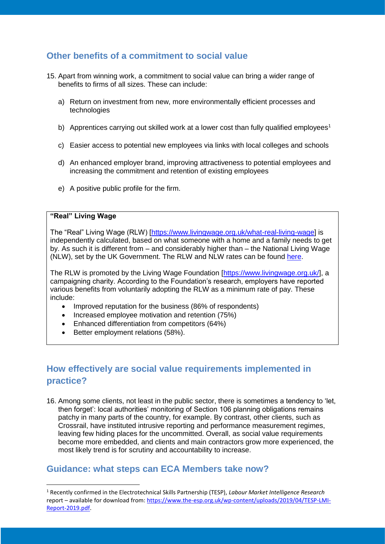## **Other benefits of a commitment to social value**

- 15. Apart from winning work, a commitment to social value can bring a wider range of benefits to firms of all sizes. These can include:
	- a) Return on investment from new, more environmentally efficient processes and technologies
	- b) Apprentices carrying out skilled work at a lower cost than fully qualified employees<sup>1</sup>
	- c) Easier access to potential new employees via links with local colleges and schools
	- d) An enhanced employer brand, improving attractiveness to potential employees and increasing the commitment and retention of existing employees
	- e) A positive public profile for the firm.

#### **"Real" Living Wage**

**.** 

The "Real" Living Wage (RLW) [\[https://www.livingwage.org.uk/what-real-living-wage\]](https://www.livingwage.org.uk/what-real-living-wage) is independently calculated, based on what someone with a home and a family needs to get by. As such it is different from – and considerably higher than – the National Living Wage (NLW), set by the UK Government. The RLW and NLW rates can be found [here.](https://www.livingwage.org.uk/what-real-living-wage)

The RLW is promoted by the Living Wage Foundation [\[https://www.livingwage.org.uk/\]](https://www.livingwage.org.uk/), a campaigning charity. According to the Foundation's research, employers have reported various benefits from voluntarily adopting the RLW as a minimum rate of pay. These include:

- Improved reputation for the business (86% of respondents)
- Increased employee motivation and retention (75%)
- Enhanced differentiation from competitors (64%)
- Better employment relations (58%).

# **How effectively are social value requirements implemented in practice?**

16. Among some clients, not least in the public sector, there is sometimes a tendency to 'let, then forget': local authorities' monitoring of Section 106 planning obligations remains patchy in many parts of the country, for example. By contrast, other clients, such as Crossrail, have instituted intrusive reporting and performance measurement regimes, leaving few hiding places for the uncommitted. Overall, as social value requirements become more embedded, and clients and main contractors grow more experienced, the most likely trend is for scrutiny and accountability to increase.

# **Guidance: what steps can ECA Members take now?**

<sup>1</sup> Recently confirmed in the Electrotechnical Skills Partnership (TESP), *Labour Market Intelligence Research*  report – available for download from: [https://www.the-esp.org.uk/wp-content/uploads/2019/04/TESP-LMI-](https://www.the-esp.org.uk/wp-content/uploads/2019/04/TESP-LMI-Report-2019.pdf)[Report-2019.pdf.](https://www.the-esp.org.uk/wp-content/uploads/2019/04/TESP-LMI-Report-2019.pdf)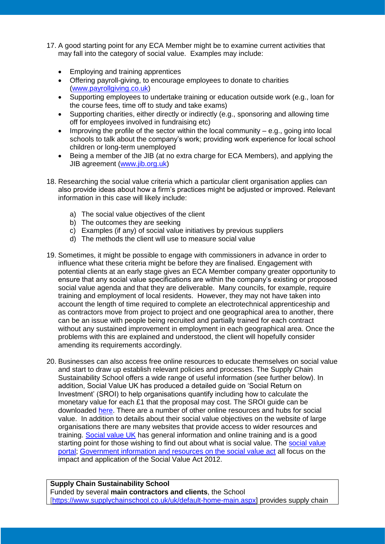- 17. A good starting point for any ECA Member might be to examine current activities that may fall into the category of social value. Examples may include:
	- Employing and training apprentices
	- Offering payroll-giving, to encourage employees to donate to charities [\(www.payrollgiving.co.uk\)](http://www.payrollgiving.co.uk/)
	- Supporting employees to undertake training or education outside work (e.g., loan for the course fees, time off to study and take exams)
	- Supporting charities, either directly or indirectly (e.g., sponsoring and allowing time off for employees involved in fundraising etc)
	- Improving the profile of the sector within the local community  $-$  e.g., going into local schools to talk about the company's work; providing work experience for local school children or long-term unemployed
	- Being a member of the JIB (at no extra charge for ECA Members), and applying the JIB agreement [\(www.jib.org.uk\)](https://www.jib.org.uk/)
- 18. Researching the social value criteria which a particular client organisation applies can also provide ideas about how a firm's practices might be adjusted or improved. Relevant information in this case will likely include:
	- a) The social value objectives of the client
	- b) The outcomes they are seeking
	- c) Examples (if any) of social value initiatives by previous suppliers
	- d) The methods the client will use to measure social value
- 19. Sometimes, it might be possible to engage with commissioners in advance in order to influence what these criteria might be before they are finalised. Engagement with potential clients at an early stage gives an ECA Member company greater opportunity to ensure that any social value specifications are within the company's existing or proposed social value agenda and that they are deliverable. Many councils, for example, require training and employment of local residents. However, they may not have taken into account the length of time required to complete an electrotechnical apprenticeship and as contractors move from project to project and one geographical area to another, there can be an issue with people being recruited and partially trained for each contract without any sustained improvement in employment in each geographical area. Once the problems with this are explained and understood, the client will hopefully consider amending its requirements accordingly.
- 20. Businesses can also access free online resources to educate themselves on social value and start to draw up establish relevant policies and processes. The Supply Chain Sustainability School offers a wide range of useful information (see further below). In addition, Social Value UK has produced a detailed guide on 'Social Return on Investment' (SROI) to help organisations quantify including how to calculate the monetary value for each £1 that the proposal may cost. The SROI guide can be downloaded [here.](http://www.socialvalueuk.org/resource/a-guide-to-social-return-on-investment-2012/) There are a number of other online resources and hubs for social value. In addition to details about their social value objectives on the website of large organisations there are many websites that provide access to wider resources and training. [Social value UK](http://www.socialvalueuk.org/social-value-campaigns/) has general information and online training and is a good starting point for those wishing to find out about what is social value. The social value [portal;](http://socialvalueportal.com/about/) [Government information and resources on the social value act](https://www.gov.uk/government/publications/social-value-act-information-and-resources/social-value-act-information-and-resources) all focus on the impact and application of the Social Value Act 2012.

#### **Supply Chain Sustainability School**

Funded by several **main contractors and clients**, the School [\[https://www.supplychainschool.co.uk/uk/default-home-main.aspx\]](https://www.supplychainschool.co.uk/uk/default-home-main.aspx) provides supply chain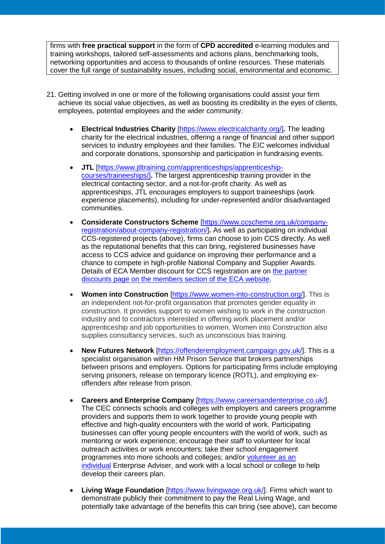firms with **free practical support** in the form of **CPD accredited** e-learning modules and training workshops, tailored self-assessments and actions plans, benchmarking tools, networking opportunities and access to thousands of online resources. These materials cover the full range of sustainability issues, including social, environmental and economic.

- 21. Getting involved in one or more of the following organisations could assist your firm achieve its social value objectives, as well as boosting its credibility in the eyes of clients, employees, potential employees and the wider community.
	- **Electrical Industries Charity** [\[https://www.electricalcharity.org/\]](https://www.electricalcharity.org/)**.** The leading charity for the electrical industries, offering a range of financial and other support services to industry employees and their families. The EIC welcomes individual and corporate donations, sponsorship and participation in fundraising events.
	- **JTL** [\[https://www.jtltraining.com/apprenticeships/apprenticeship](https://www.jtltraining.com/apprenticeships/apprenticeship-courses/traineeships/)[courses/traineeships/\]](https://www.jtltraining.com/apprenticeships/apprenticeship-courses/traineeships/)**.** The largest apprenticeship training provider in the electrical contacting sector, and a not-for-profit charity. As well as apprenticeships, JTL encourages employers to support traineeships (work experience placements), including for under-represented and/or disadvantaged communities.
	- **Considerate Constructors Scheme** [\[https://www.ccscheme.org.uk/company](https://www.ccscheme.org.uk/company-registration/about-company-registration/)[registration/about-company-registration/\]](https://www.ccscheme.org.uk/company-registration/about-company-registration/)**.** As well as participating on individual CCS-registered projects (above), firms can choose to join CCS directly. As well as the reputational benefits that this can bring, registered businesses have access to CCS advice and guidance on improving their performance and a chance to compete in high-profile National Company and Supplier Awards. Details of ECA Member discount for CCS registration are on [the partner](https://www.eca.co.uk/why-the-eca/electrical-engineers-installers/members-discounts.aspx)  [discounts page on the members section of the ECA website.](https://www.eca.co.uk/why-the-eca/electrical-engineers-installers/members-discounts.aspx)
	- **Women into Construction** [\[https://www.women-into-construction.org/\]](https://www.women-into-construction.org/). This is an independent not-for-profit organisation that promotes gender equality in construction. It provides support to women wishing to work in the construction industry and to contractors interested in offering work placement and/or apprenticeship and job opportunities to women. Women into Construction also supplies consultancy services, such as unconscious bias training.
	- **New Futures Network** [\[https://offenderemployment.campaign.gov.uk/\]](https://offenderemployment.campaign.gov.uk/). This is a specialist organisation within HM Prison Service that brokers partnerships between prisons and employers. Options for participating firms include employing serving prisoners, release on temporary licence (ROTL), and employing exoffenders after release from prison.
	- **Careers and Enterprise Company** [\[https://www.careersandenterprise.co.uk/\]](https://www.careersandenterprise.co.uk/). The CEC connects schools and colleges with employers and careers programme providers and supports them to work together to provide young people with effective and high-quality encounters with the world of work. Participating businesses can offer young people encounters with the world of work, such as mentoring or work experience; encourage their staff to volunteer for local outreach activities or work encounters; take their school engagement programmes into more schools and colleges; and/or [volunteer as an](https://www.careersandenterprise.co.uk/enterprise-adviser-network/become-enterprise-adviser)  [individual](https://www.careersandenterprise.co.uk/enterprise-adviser-network/become-enterprise-adviser) Enterprise Adviser, and work with a local school or college to help develop their careers plan.
	- **Living Wage Foundation** [\[https://www.livingwage.org.uk/\]](https://www.livingwage.org.uk/). Firms which want to demonstrate publicly their commitment to pay the Real Living Wage, and potentially take advantage of the benefits this can bring (see above), can become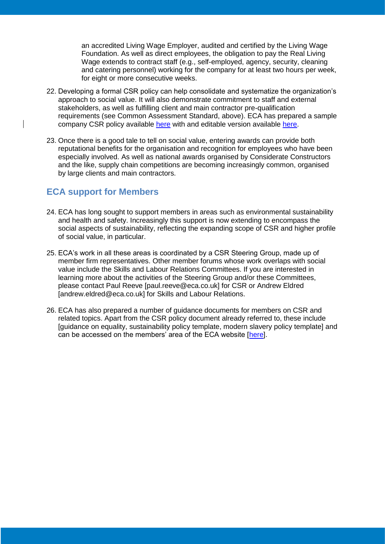an accredited Living Wage Employer, audited and certified by the Living Wage Foundation. As well as direct employees, the obligation to pay the Real Living Wage extends to contract staff (e.g., self-employed, agency, security, cleaning and catering personnel) working for the company for at least two hours per week, for eight or more consecutive weeks.

- 22. Developing a formal CSR policy can help consolidate and systematize the organization's approach to social value. It will also demonstrate commitment to staff and external stakeholders, as well as fulfilling client and main contractor pre-qualification requirements (see Common Assessment Standard, above). ECA has prepared a sample company CSR policy available [here](https://www.eca.co.uk/CMSPages/GetFile.aspx?guid=4385ed9f-223c-4ca4-9926-585a48188fab) with and editable version available [here.](https://www.eca.co.uk/business-industry-support/commercial-and-contracts/csr)
- 23. Once there is a good tale to tell on social value, entering awards can provide both reputational benefits for the organisation and recognition for employees who have been especially involved. As well as national awards organised by Considerate Constructors and the like, supply chain competitions are becoming increasingly common, organised by large clients and main contractors.

## **ECA support for Members**

- 24. ECA has long sought to support members in areas such as environmental sustainability and health and safety. Increasingly this support is now extending to encompass the social aspects of sustainability, reflecting the expanding scope of CSR and higher profile of social value, in particular.
- 25. ECA's work in all these areas is coordinated by a CSR Steering Group, made up of member firm representatives. Other member forums whose work overlaps with social value include the Skills and Labour Relations Committees. If you are interested in learning more about the activities of the Steering Group and/or these Committees, please contact Paul Reeve [paul.reeve@eca.co.uk] for CSR or Andrew Eldred [andrew.eldred@eca.co.uk] for Skills and Labour Relations.
- 26. ECA has also prepared a number of guidance documents for members on CSR and related topics. Apart from the CSR policy document already referred to, these include [guidance on equality, sustainability policy template, modern slavery policy template] and can be accessed on the members' area of the ECA website [\[here\]](https://www.eca.co.uk/business-industry-support/commercial-and-contracts/csr).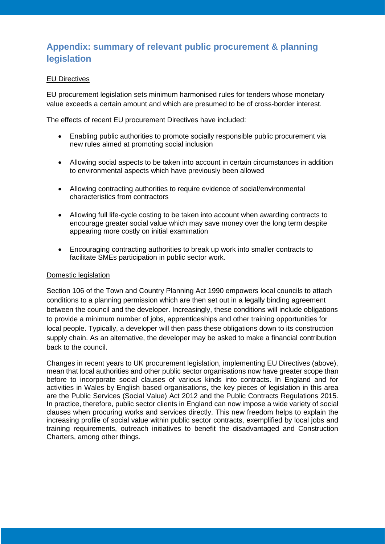# **Appendix: summary of relevant public procurement & planning legislation**

#### EU Directives

EU procurement legislation sets minimum harmonised rules for tenders whose monetary value exceeds a certain amount and which are presumed to be of cross-border interest.

The effects of recent EU procurement Directives have included:

- Enabling public authorities to promote socially responsible public procurement via new rules aimed at promoting social inclusion
- Allowing social aspects to be taken into account in certain circumstances in addition to environmental aspects which have previously been allowed
- Allowing contracting authorities to require evidence of social/environmental characteristics from contractors
- Allowing full life-cycle costing to be taken into account when awarding contracts to encourage greater social value which may save money over the long term despite appearing more costly on initial examination
- Encouraging contracting authorities to break up work into smaller contracts to facilitate SMEs participation in public sector work.

#### Domestic legislation

Section 106 of the Town and Country Planning Act 1990 empowers local councils to attach conditions to a planning permission which are then set out in a legally binding agreement between the council and the developer. Increasingly, these conditions will include obligations to provide a minimum number of jobs, apprenticeships and other training opportunities for local people. Typically, a developer will then pass these obligations down to its construction supply chain. As an alternative, the developer may be asked to make a financial contribution back to the council.

Changes in recent years to UK procurement legislation, implementing EU Directives (above), mean that local authorities and other public sector organisations now have greater scope than before to incorporate social clauses of various kinds into contracts. In England and for activities in Wales by English based organisations, the key pieces of legislation in this area are the Public Services (Social Value) Act 2012 and the Public Contracts Regulations 2015. In practice, therefore, public sector clients in England can now impose a wide variety of social clauses when procuring works and services directly. This new freedom helps to explain the increasing profile of social value within public sector contracts, exemplified by local jobs and training requirements, outreach initiatives to benefit the disadvantaged and Construction Charters, among other things.